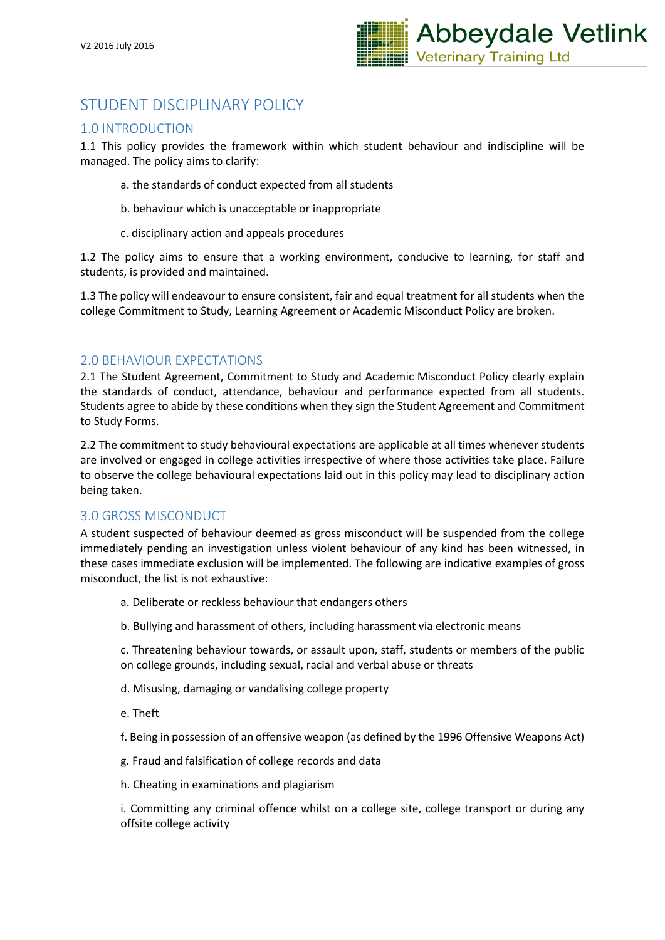

# STUDENT DISCIPLINARY POLICY

## 1.0 INTRODUCTION

1.1 This policy provides the framework within which student behaviour and indiscipline will be managed. The policy aims to clarify:

- a. the standards of conduct expected from all students
- b. behaviour which is unacceptable or inappropriate
- c. disciplinary action and appeals procedures

1.2 The policy aims to ensure that a working environment, conducive to learning, for staff and students, is provided and maintained.

1.3 The policy will endeavour to ensure consistent, fair and equal treatment for all students when the college Commitment to Study, Learning Agreement or Academic Misconduct Policy are broken.

## 2.0 BEHAVIOUR EXPECTATIONS

2.1 The Student Agreement, Commitment to Study and Academic Misconduct Policy clearly explain the standards of conduct, attendance, behaviour and performance expected from all students. Students agree to abide by these conditions when they sign the Student Agreement and Commitment to Study Forms.

2.2 The commitment to study behavioural expectations are applicable at all times whenever students are involved or engaged in college activities irrespective of where those activities take place. Failure to observe the college behavioural expectations laid out in this policy may lead to disciplinary action being taken.

## 3.0 GROSS MISCONDUCT

A student suspected of behaviour deemed as gross misconduct will be suspended from the college immediately pending an investigation unless violent behaviour of any kind has been witnessed, in these cases immediate exclusion will be implemented. The following are indicative examples of gross misconduct, the list is not exhaustive:

- a. Deliberate or reckless behaviour that endangers others
- b. Bullying and harassment of others, including harassment via electronic means

c. Threatening behaviour towards, or assault upon, staff, students or members of the public on college grounds, including sexual, racial and verbal abuse or threats

- d. Misusing, damaging or vandalising college property
- e. Theft

f. Being in possession of an offensive weapon (as defined by the 1996 Offensive Weapons Act)

- g. Fraud and falsification of college records and data
- h. Cheating in examinations and plagiarism

i. Committing any criminal offence whilst on a college site, college transport or during any offsite college activity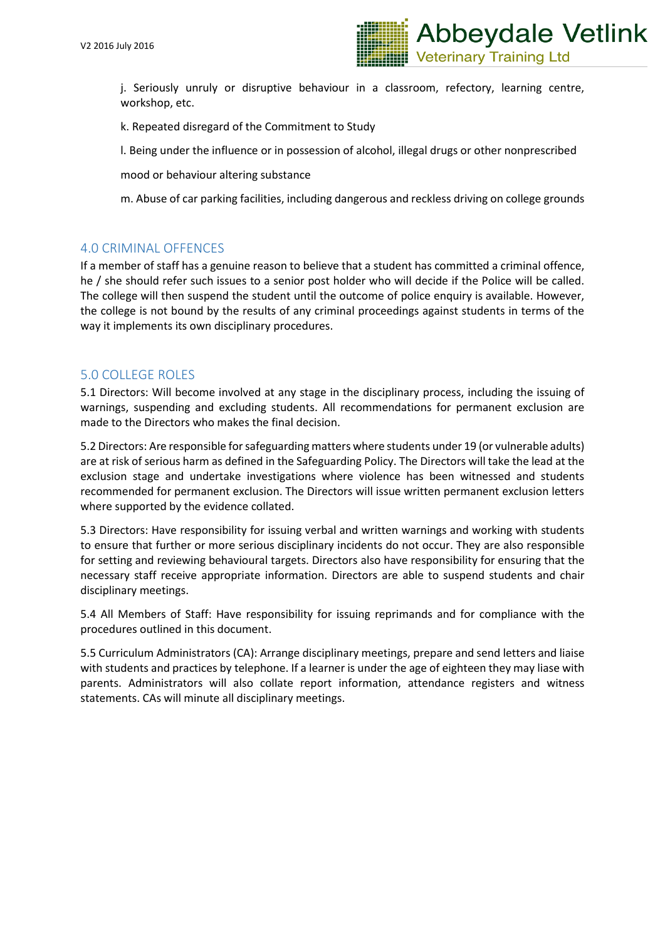

j. Seriously unruly or disruptive behaviour in a classroom, refectory, learning centre, workshop, etc.

k. Repeated disregard of the Commitment to Study

l. Being under the influence or in possession of alcohol, illegal drugs or other nonprescribed

mood or behaviour altering substance

m. Abuse of car parking facilities, including dangerous and reckless driving on college grounds

## 4.0 CRIMINAL OFFENCES

If a member of staff has a genuine reason to believe that a student has committed a criminal offence, he / she should refer such issues to a senior post holder who will decide if the Police will be called. The college will then suspend the student until the outcome of police enquiry is available. However, the college is not bound by the results of any criminal proceedings against students in terms of the way it implements its own disciplinary procedures.

## 5.0 COLLEGE ROLES

5.1 Directors: Will become involved at any stage in the disciplinary process, including the issuing of warnings, suspending and excluding students. All recommendations for permanent exclusion are made to the Directors who makes the final decision.

5.2 Directors: Are responsible for safeguarding matters where students under 19 (or vulnerable adults) are at risk of serious harm as defined in the Safeguarding Policy. The Directors will take the lead at the exclusion stage and undertake investigations where violence has been witnessed and students recommended for permanent exclusion. The Directors will issue written permanent exclusion letters where supported by the evidence collated.

5.3 Directors: Have responsibility for issuing verbal and written warnings and working with students to ensure that further or more serious disciplinary incidents do not occur. They are also responsible for setting and reviewing behavioural targets. Directors also have responsibility for ensuring that the necessary staff receive appropriate information. Directors are able to suspend students and chair disciplinary meetings.

5.4 All Members of Staff: Have responsibility for issuing reprimands and for compliance with the procedures outlined in this document.

5.5 Curriculum Administrators (CA): Arrange disciplinary meetings, prepare and send letters and liaise with students and practices by telephone. If a learner is under the age of eighteen they may liase with parents. Administrators will also collate report information, attendance registers and witness statements. CAs will minute all disciplinary meetings.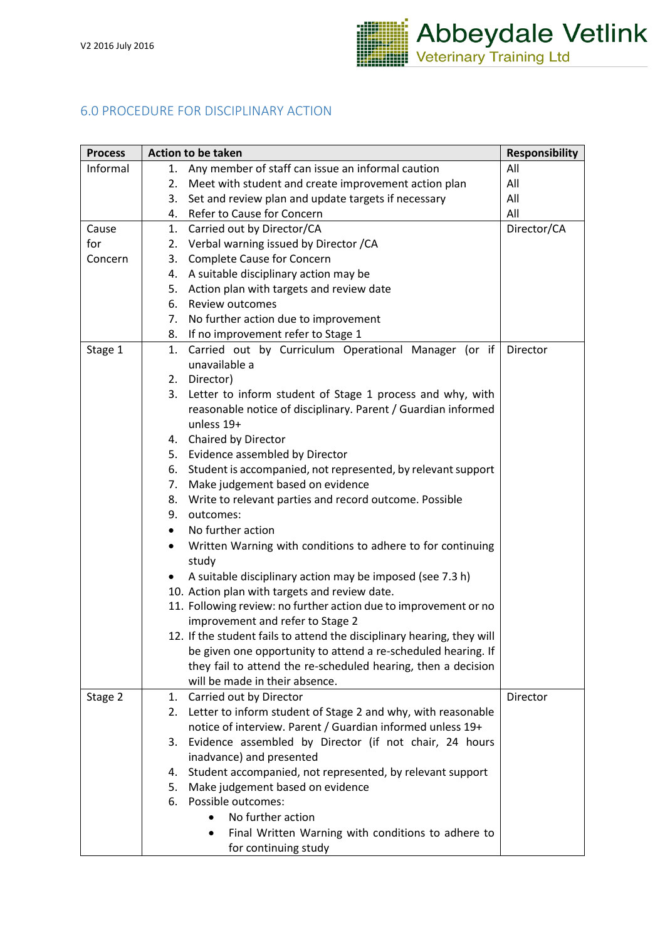

# 6.0 PROCEDURE FOR DISCIPLINARY ACTION

| <b>Process</b> | <b>Action to be taken</b>                                                         | <b>Responsibility</b> |
|----------------|-----------------------------------------------------------------------------------|-----------------------|
| Informal       | Any member of staff can issue an informal caution<br>1.                           | All                   |
|                | Meet with student and create improvement action plan<br>2.                        | All                   |
|                | Set and review plan and update targets if necessary<br>3.                         | All                   |
|                | Refer to Cause for Concern<br>4.                                                  | All                   |
| Cause          | 1. Carried out by Director/CA                                                     | Director/CA           |
| for            | 2. Verbal warning issued by Director / CA                                         |                       |
| Concern        | <b>Complete Cause for Concern</b><br>3.                                           |                       |
|                | A suitable disciplinary action may be<br>4.                                       |                       |
|                | Action plan with targets and review date<br>5.                                    |                       |
|                | 6. Review outcomes                                                                |                       |
|                | No further action due to improvement<br>7.                                        |                       |
|                | If no improvement refer to Stage 1<br>8.                                          |                       |
| Stage 1        | Carried out by Curriculum Operational Manager (or if<br>1.                        | Director              |
|                | unavailable a                                                                     |                       |
|                | 2. Director)                                                                      |                       |
|                | Letter to inform student of Stage 1 process and why, with<br>3.                   |                       |
|                | reasonable notice of disciplinary. Parent / Guardian informed                     |                       |
|                | unless 19+                                                                        |                       |
|                | 4. Chaired by Director                                                            |                       |
|                | Evidence assembled by Director<br>5.                                              |                       |
|                | Student is accompanied, not represented, by relevant support<br>6.                |                       |
|                | Make judgement based on evidence<br>7.                                            |                       |
|                | Write to relevant parties and record outcome. Possible<br>8.                      |                       |
|                | outcomes:<br>9.                                                                   |                       |
|                | No further action<br>$\bullet$                                                    |                       |
|                | Written Warning with conditions to adhere to for continuing<br>$\bullet$<br>study |                       |
|                | A suitable disciplinary action may be imposed (see 7.3 h)                         |                       |
|                | 10. Action plan with targets and review date.                                     |                       |
|                | 11. Following review: no further action due to improvement or no                  |                       |
|                | improvement and refer to Stage 2                                                  |                       |
|                | 12. If the student fails to attend the disciplinary hearing, they will            |                       |
|                | be given one opportunity to attend a re-scheduled hearing. If                     |                       |
|                | they fail to attend the re-scheduled hearing, then a decision                     |                       |
|                | will be made in their absence.                                                    |                       |
| Stage 2        | Carried out by Director<br>1.                                                     | Director              |
|                | 2. Letter to inform student of Stage 2 and why, with reasonable                   |                       |
|                | notice of interview. Parent / Guardian informed unless 19+                        |                       |
|                | Evidence assembled by Director (if not chair, 24 hours<br>3.                      |                       |
|                | inadvance) and presented                                                          |                       |
|                | Student accompanied, not represented, by relevant support<br>4.                   |                       |
|                | Make judgement based on evidence<br>5.                                            |                       |
|                | Possible outcomes:<br>6.                                                          |                       |
|                | No further action<br>$\bullet$                                                    |                       |
|                | Final Written Warning with conditions to adhere to<br>٠                           |                       |
|                | for continuing study                                                              |                       |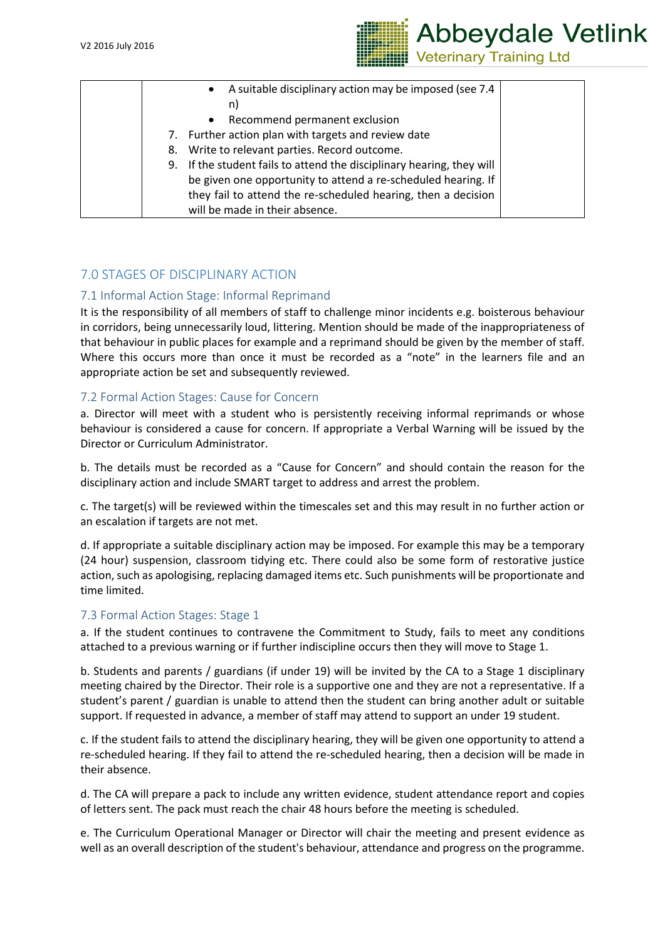

| A suitable disciplinary action may be imposed (see 7.4<br>$\bullet$      |
|--------------------------------------------------------------------------|
| n)                                                                       |
| Recommend permanent exclusion<br>$\bullet$                               |
| Further action plan with targets and review date<br>7.                   |
| Write to relevant parties. Record outcome.<br>8.                         |
| If the student fails to attend the disciplinary hearing, they will<br>9. |
| be given one opportunity to attend a re-scheduled hearing. If            |
| they fail to attend the re-scheduled hearing, then a decision            |
| will be made in their absence.                                           |

# 7.0 STAGES OF DISCIPLINARY ACTION

## 7.1 Informal Action Stage: Informal Reprimand

It is the responsibility of all members of staff to challenge minor incidents e.g. boisterous behaviour in corridors, being unnecessarily loud, littering. Mention should be made of the inappropriateness of that behaviour in public places for example and a reprimand should be given by the member of staff. Where this occurs more than once it must be recorded as a "note" in the learners file and an appropriate action be set and subsequently reviewed.

### 7.2 Formal Action Stages: Cause for Concern

a. Director will meet with a student who is persistently receiving informal reprimands or whose behaviour is considered a cause for concern. If appropriate a Verbal Warning will be issued by the Director or Curriculum Administrator.

b. The details must be recorded as a "Cause for Concern" and should contain the reason for the disciplinary action and include SMART target to address and arrest the problem.

c. The target(s) will be reviewed within the timescales set and this may result in no further action or an escalation if targets are not met.

d. If appropriate a suitable disciplinary action may be imposed. For example this may be a temporary (24 hour) suspension, classroom tidying etc. There could also be some form of restorative justice action, such as apologising, replacing damaged items etc. Such punishments will be proportionate and time limited.

### 7.3 Formal Action Stages: Stage 1

a. If the student continues to contravene the Commitment to Study, fails to meet any conditions attached to a previous warning or if further indiscipline occurs then they will move to Stage 1.

b. Students and parents / guardians (if under 19) will be invited by the CA to a Stage 1 disciplinary meeting chaired by the Director. Their role is a supportive one and they are not a representative. If a student's parent / guardian is unable to attend then the student can bring another adult or suitable support. If requested in advance, a member of staff may attend to support an under 19 student.

c. If the student fails to attend the disciplinary hearing, they will be given one opportunity to attend a re-scheduled hearing. If they fail to attend the re-scheduled hearing, then a decision will be made in their absence.

d. The CA will prepare a pack to include any written evidence, student attendance report and copies of letters sent. The pack must reach the chair 48 hours before the meeting is scheduled.

e. The Curriculum Operational Manager or Director will chair the meeting and present evidence as well as an overall description of the student's behaviour, attendance and progress on the programme.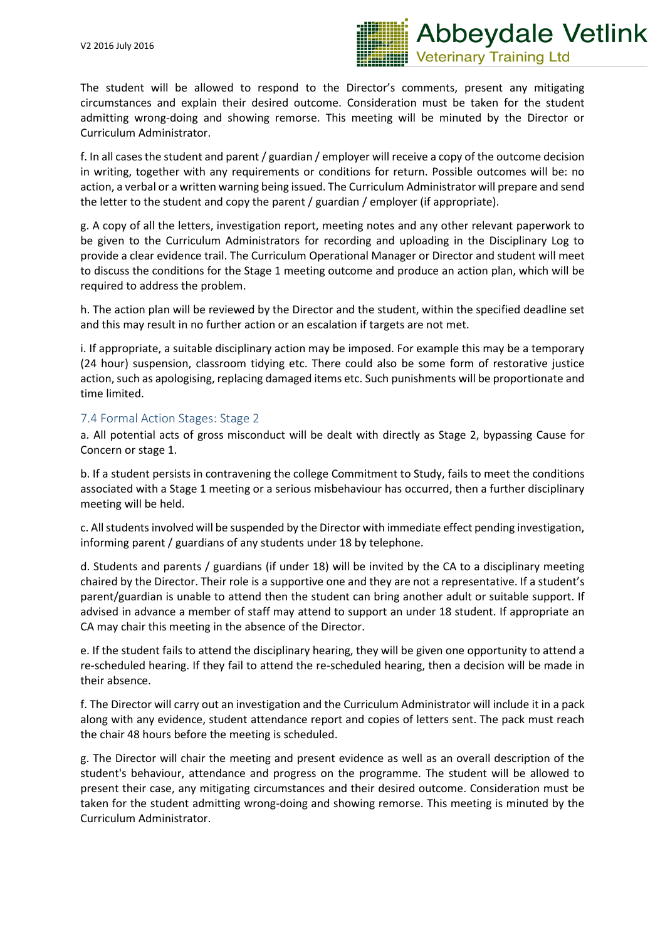

The student will be allowed to respond to the Director's comments, present any mitigating circumstances and explain their desired outcome. Consideration must be taken for the student admitting wrong-doing and showing remorse. This meeting will be minuted by the Director or Curriculum Administrator.

f. In all cases the student and parent / guardian / employer will receive a copy of the outcome decision in writing, together with any requirements or conditions for return. Possible outcomes will be: no action, a verbal or a written warning being issued. The Curriculum Administrator will prepare and send the letter to the student and copy the parent / guardian / employer (if appropriate).

g. A copy of all the letters, investigation report, meeting notes and any other relevant paperwork to be given to the Curriculum Administrators for recording and uploading in the Disciplinary Log to provide a clear evidence trail. The Curriculum Operational Manager or Director and student will meet to discuss the conditions for the Stage 1 meeting outcome and produce an action plan, which will be required to address the problem.

h. The action plan will be reviewed by the Director and the student, within the specified deadline set and this may result in no further action or an escalation if targets are not met.

i. If appropriate, a suitable disciplinary action may be imposed. For example this may be a temporary (24 hour) suspension, classroom tidying etc. There could also be some form of restorative justice action, such as apologising, replacing damaged items etc. Such punishments will be proportionate and time limited.

### 7.4 Formal Action Stages: Stage 2

a. All potential acts of gross misconduct will be dealt with directly as Stage 2, bypassing Cause for Concern or stage 1.

b. If a student persists in contravening the college Commitment to Study, fails to meet the conditions associated with a Stage 1 meeting or a serious misbehaviour has occurred, then a further disciplinary meeting will be held.

c. All students involved will be suspended by the Director with immediate effect pending investigation, informing parent / guardians of any students under 18 by telephone.

d. Students and parents / guardians (if under 18) will be invited by the CA to a disciplinary meeting chaired by the Director. Their role is a supportive one and they are not a representative. If a student's parent/guardian is unable to attend then the student can bring another adult or suitable support. If advised in advance a member of staff may attend to support an under 18 student. If appropriate an CA may chair this meeting in the absence of the Director.

e. If the student fails to attend the disciplinary hearing, they will be given one opportunity to attend a re-scheduled hearing. If they fail to attend the re-scheduled hearing, then a decision will be made in their absence.

f. The Director will carry out an investigation and the Curriculum Administrator will include it in a pack along with any evidence, student attendance report and copies of letters sent. The pack must reach the chair 48 hours before the meeting is scheduled.

g. The Director will chair the meeting and present evidence as well as an overall description of the student's behaviour, attendance and progress on the programme. The student will be allowed to present their case, any mitigating circumstances and their desired outcome. Consideration must be taken for the student admitting wrong-doing and showing remorse. This meeting is minuted by the Curriculum Administrator.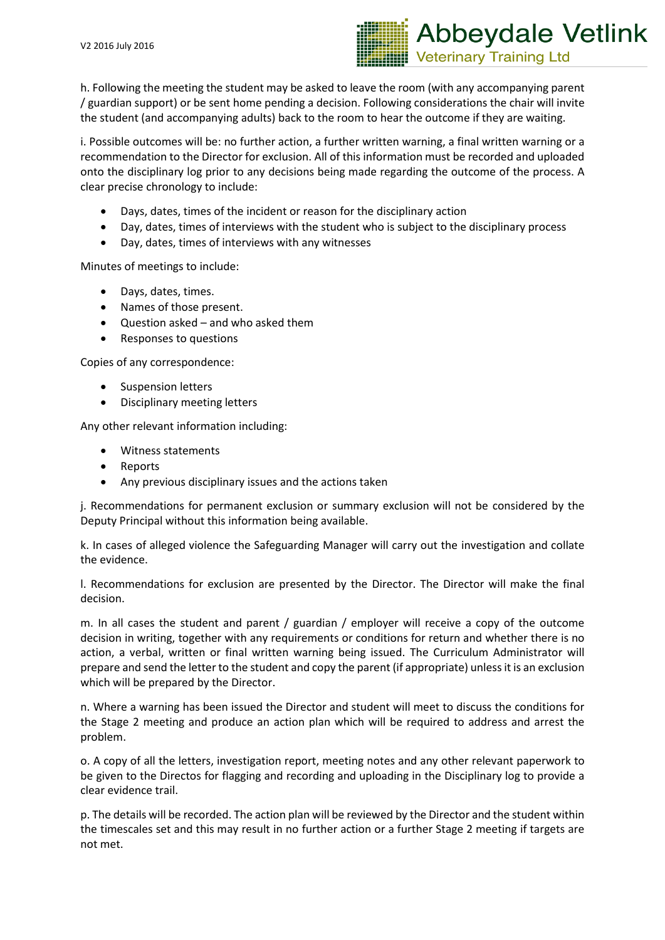

h. Following the meeting the student may be asked to leave the room (with any accompanying parent / guardian support) or be sent home pending a decision. Following considerations the chair will invite the student (and accompanying adults) back to the room to hear the outcome if they are waiting.

i. Possible outcomes will be: no further action, a further written warning, a final written warning or a recommendation to the Director for exclusion. All of this information must be recorded and uploaded onto the disciplinary log prior to any decisions being made regarding the outcome of the process. A clear precise chronology to include:

- Days, dates, times of the incident or reason for the disciplinary action
- Day, dates, times of interviews with the student who is subject to the disciplinary process
- Day, dates, times of interviews with any witnesses

Minutes of meetings to include:

- Days, dates, times.
- Names of those present.
- Question asked and who asked them
- Responses to questions

Copies of any correspondence:

- Suspension letters
- Disciplinary meeting letters

Any other relevant information including:

- Witness statements
- Reports
- Any previous disciplinary issues and the actions taken

j. Recommendations for permanent exclusion or summary exclusion will not be considered by the Deputy Principal without this information being available.

k. In cases of alleged violence the Safeguarding Manager will carry out the investigation and collate the evidence.

l. Recommendations for exclusion are presented by the Director. The Director will make the final decision.

m. In all cases the student and parent / guardian / employer will receive a copy of the outcome decision in writing, together with any requirements or conditions for return and whether there is no action, a verbal, written or final written warning being issued. The Curriculum Administrator will prepare and send the letter to the student and copy the parent (if appropriate) unless it is an exclusion which will be prepared by the Director.

n. Where a warning has been issued the Director and student will meet to discuss the conditions for the Stage 2 meeting and produce an action plan which will be required to address and arrest the problem.

o. A copy of all the letters, investigation report, meeting notes and any other relevant paperwork to be given to the Directos for flagging and recording and uploading in the Disciplinary log to provide a clear evidence trail.

p. The details will be recorded. The action plan will be reviewed by the Director and the student within the timescales set and this may result in no further action or a further Stage 2 meeting if targets are not met.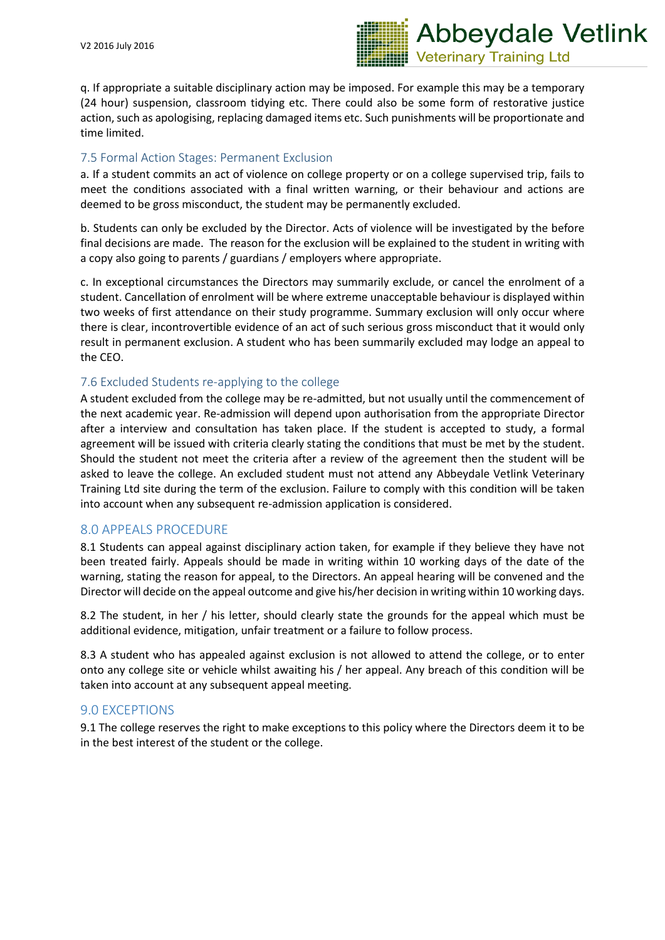

q. If appropriate a suitable disciplinary action may be imposed. For example this may be a temporary (24 hour) suspension, classroom tidying etc. There could also be some form of restorative justice action, such as apologising, replacing damaged items etc. Such punishments will be proportionate and time limited.

## 7.5 Formal Action Stages: Permanent Exclusion

a. If a student commits an act of violence on college property or on a college supervised trip, fails to meet the conditions associated with a final written warning, or their behaviour and actions are deemed to be gross misconduct, the student may be permanently excluded.

b. Students can only be excluded by the Director. Acts of violence will be investigated by the before final decisions are made. The reason for the exclusion will be explained to the student in writing with a copy also going to parents / guardians / employers where appropriate.

c. In exceptional circumstances the Directors may summarily exclude, or cancel the enrolment of a student. Cancellation of enrolment will be where extreme unacceptable behaviour is displayed within two weeks of first attendance on their study programme. Summary exclusion will only occur where there is clear, incontrovertible evidence of an act of such serious gross misconduct that it would only result in permanent exclusion. A student who has been summarily excluded may lodge an appeal to the CEO.

## 7.6 Excluded Students re-applying to the college

A student excluded from the college may be re-admitted, but not usually until the commencement of the next academic year. Re-admission will depend upon authorisation from the appropriate Director after a interview and consultation has taken place. If the student is accepted to study, a formal agreement will be issued with criteria clearly stating the conditions that must be met by the student. Should the student not meet the criteria after a review of the agreement then the student will be asked to leave the college. An excluded student must not attend any Abbeydale Vetlink Veterinary Training Ltd site during the term of the exclusion. Failure to comply with this condition will be taken into account when any subsequent re-admission application is considered.

### 8.0 APPEALS PROCEDURE

8.1 Students can appeal against disciplinary action taken, for example if they believe they have not been treated fairly. Appeals should be made in writing within 10 working days of the date of the warning, stating the reason for appeal, to the Directors. An appeal hearing will be convened and the Director will decide on the appeal outcome and give his/her decision in writing within 10 working days.

8.2 The student, in her / his letter, should clearly state the grounds for the appeal which must be additional evidence, mitigation, unfair treatment or a failure to follow process.

8.3 A student who has appealed against exclusion is not allowed to attend the college, or to enter onto any college site or vehicle whilst awaiting his / her appeal. Any breach of this condition will be taken into account at any subsequent appeal meeting.

### 9.0 EXCEPTIONS

9.1 The college reserves the right to make exceptions to this policy where the Directors deem it to be in the best interest of the student or the college.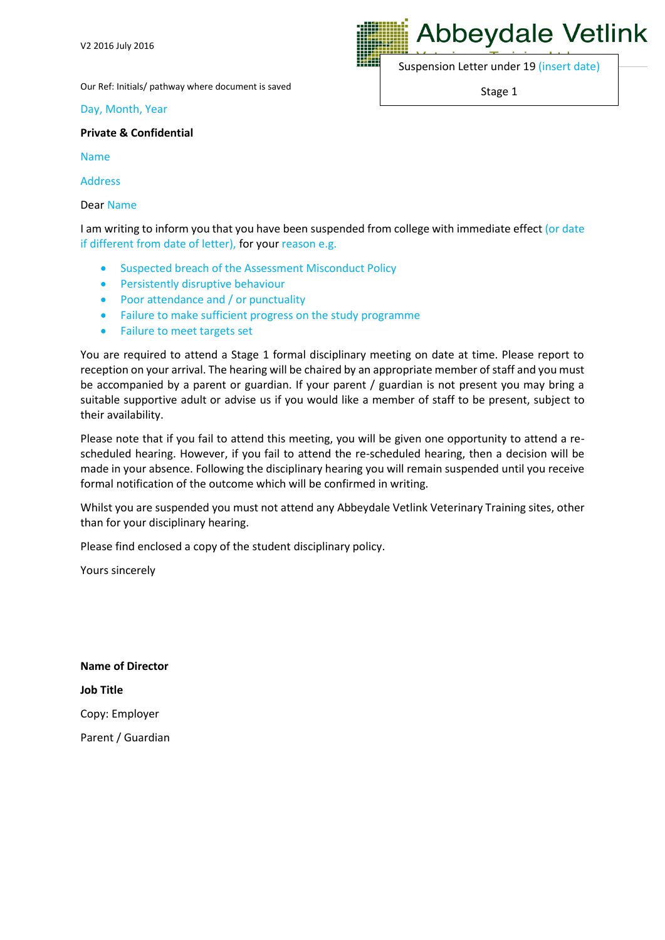Our Ref: Initials/ pathway where document is saved

Day, Month, Year

**Private & Confidential**

Name

Address

Dear Name

I am writing to inform you that you have been suspended from college with immediate effect (or date if different from date of letter), for your reason e.g.

- Suspected breach of the Assessment Misconduct Policy
- **•** Persistently disruptive behaviour
- Poor attendance and / or punctuality
- Failure to make sufficient progress on the study programme
- Failure to meet targets set

You are required to attend a Stage 1 formal disciplinary meeting on date at time. Please report to reception on your arrival. The hearing will be chaired by an appropriate member of staff and you must be accompanied by a parent or guardian. If your parent / guardian is not present you may bring a suitable supportive adult or advise us if you would like a member of staff to be present, subject to their availability.

Please note that if you fail to attend this meeting, you will be given one opportunity to attend a rescheduled hearing. However, if you fail to attend the re-scheduled hearing, then a decision will be made in your absence. Following the disciplinary hearing you will remain suspended until you receive formal notification of the outcome which will be confirmed in writing.

Whilst you are suspended you must not attend any Abbeydale Vetlink Veterinary Training sites, other than for your disciplinary hearing.

Please find enclosed a copy of the student disciplinary policy.

Yours sincerely

**Name of Director Job Title** Copy: Employer Parent / Guardian **Abbeydale Vetlink** 

Suspension Letter under 19 (insert date)

Stage 1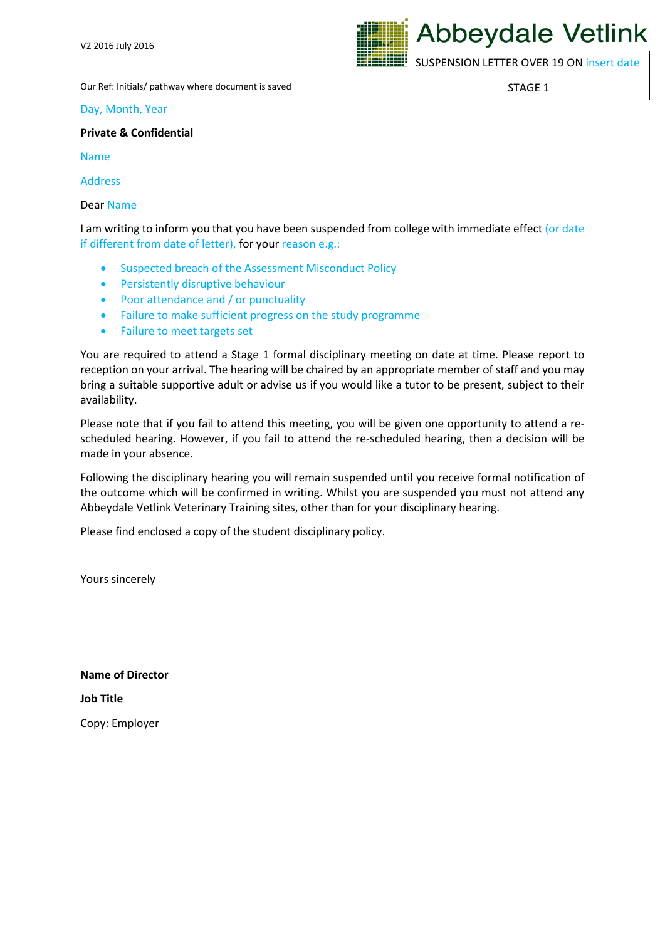

SUSPENSION LETTER OVER 19 ON insert date

STAGE 1

Our Ref: Initials/ pathway where document is saved

Day, Month, Year

**Private & Confidential**

Name

Address

Dear Name

I am writing to inform you that you have been suspended from college with immediate effect (or date if different from date of letter), for your reason e.g.:

- Suspected breach of the Assessment Misconduct Policy
- **•** Persistently disruptive behaviour
- Poor attendance and / or punctuality
- Failure to make sufficient progress on the study programme
- Failure to meet targets set

You are required to attend a Stage 1 formal disciplinary meeting on date at time. Please report to reception on your arrival. The hearing will be chaired by an appropriate member of staff and you may bring a suitable supportive adult or advise us if you would like a tutor to be present, subject to their availability.

Please note that if you fail to attend this meeting, you will be given one opportunity to attend a rescheduled hearing. However, if you fail to attend the re-scheduled hearing, then a decision will be made in your absence.

Following the disciplinary hearing you will remain suspended until you receive formal notification of the outcome which will be confirmed in writing. Whilst you are suspended you must not attend any Abbeydale Vetlink Veterinary Training sites, other than for your disciplinary hearing.

Please find enclosed a copy of the student disciplinary policy.

Yours sincerely

**Name of Director Job Title** Copy: Employer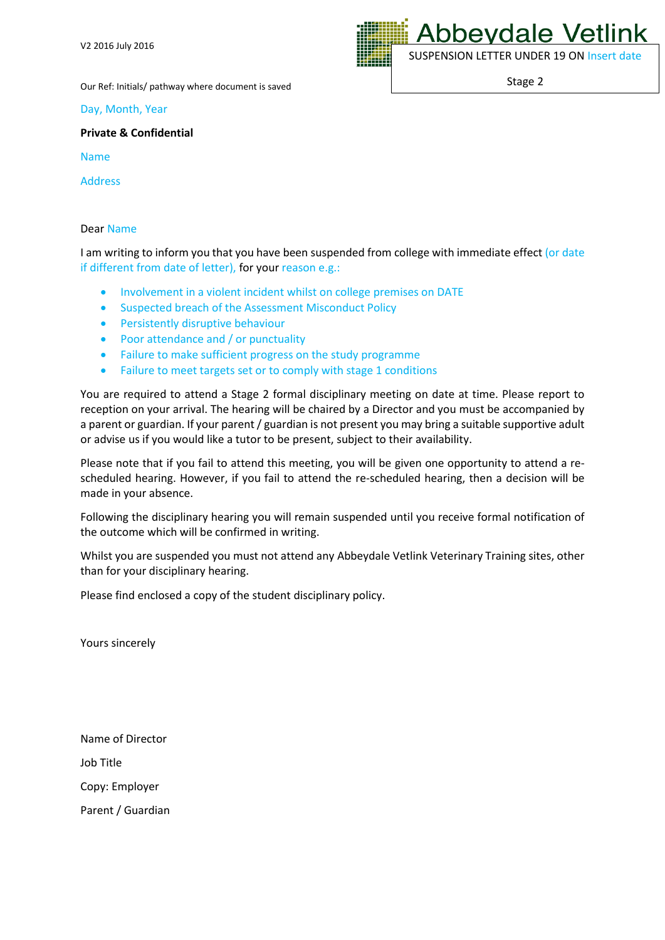

Stage 2

Our Ref: Initials/ pathway where document is saved

Day, Month, Year

**Private & Confidential**

Name

Address

#### Dear Name

I am writing to inform you that you have been suspended from college with immediate effect (or date if different from date of letter), for your reason e.g.:

- Involvement in a violent incident whilst on college premises on DATE
- Suspected breach of the Assessment Misconduct Policy
- **•** Persistently disruptive behaviour
- Poor attendance and / or punctuality
- Failure to make sufficient progress on the study programme
- Failure to meet targets set or to comply with stage 1 conditions

You are required to attend a Stage 2 formal disciplinary meeting on date at time. Please report to reception on your arrival. The hearing will be chaired by a Director and you must be accompanied by a parent or guardian. If your parent / guardian is not present you may bring a suitable supportive adult or advise us if you would like a tutor to be present, subject to their availability.

Please note that if you fail to attend this meeting, you will be given one opportunity to attend a rescheduled hearing. However, if you fail to attend the re-scheduled hearing, then a decision will be made in your absence.

Following the disciplinary hearing you will remain suspended until you receive formal notification of the outcome which will be confirmed in writing.

Whilst you are suspended you must not attend any Abbeydale Vetlink Veterinary Training sites, other than for your disciplinary hearing.

Please find enclosed a copy of the student disciplinary policy.

Yours sincerely

Name of Director Job Title Copy: Employer

Parent / Guardian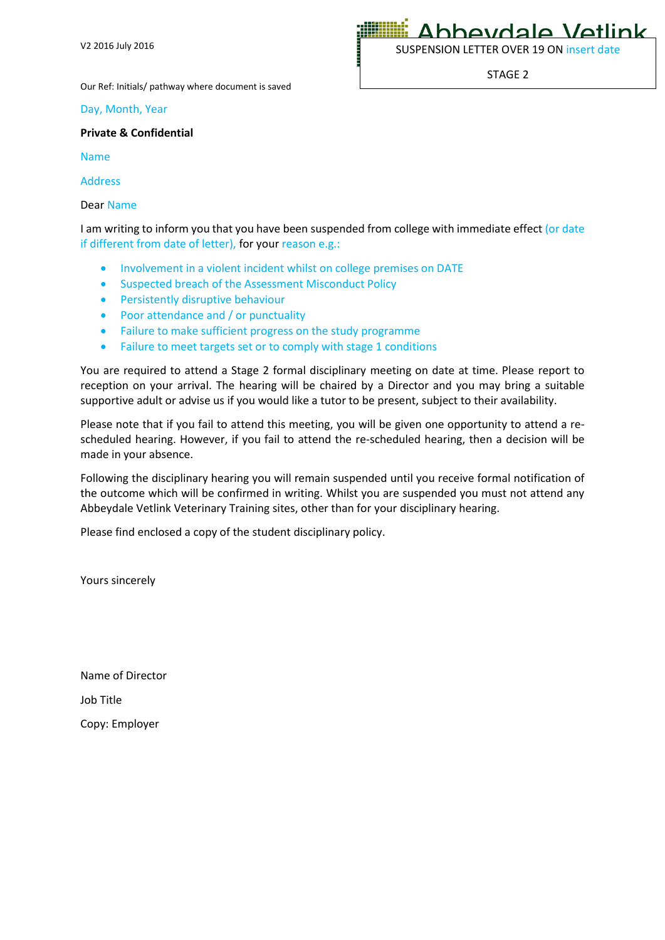Ahheydale Vetlink

SUSPENSION LETTER OVER 19 ON insert date

STAGE 2

Our Ref: Initials/ pathway where document is saved

Day, Month, Year

#### **Private & Confidential**

Name

Address

Dear Name

I am writing to inform you that you have been suspended from college with immediate effect (or date if different from date of letter), for your reason e.g.:

- Involvement in a violent incident whilst on college premises on DATE
- Suspected breach of the Assessment Misconduct Policy
- **•** Persistently disruptive behaviour
- Poor attendance and / or punctuality
- Failure to make sufficient progress on the study programme
- Failure to meet targets set or to comply with stage 1 conditions

You are required to attend a Stage 2 formal disciplinary meeting on date at time. Please report to reception on your arrival. The hearing will be chaired by a Director and you may bring a suitable supportive adult or advise us if you would like a tutor to be present, subject to their availability.

Please note that if you fail to attend this meeting, you will be given one opportunity to attend a rescheduled hearing. However, if you fail to attend the re-scheduled hearing, then a decision will be made in your absence.

Following the disciplinary hearing you will remain suspended until you receive formal notification of the outcome which will be confirmed in writing. Whilst you are suspended you must not attend any Abbeydale Vetlink Veterinary Training sites, other than for your disciplinary hearing.

Please find enclosed a copy of the student disciplinary policy.

Yours sincerely

Name of Director Job Title Copy: Employer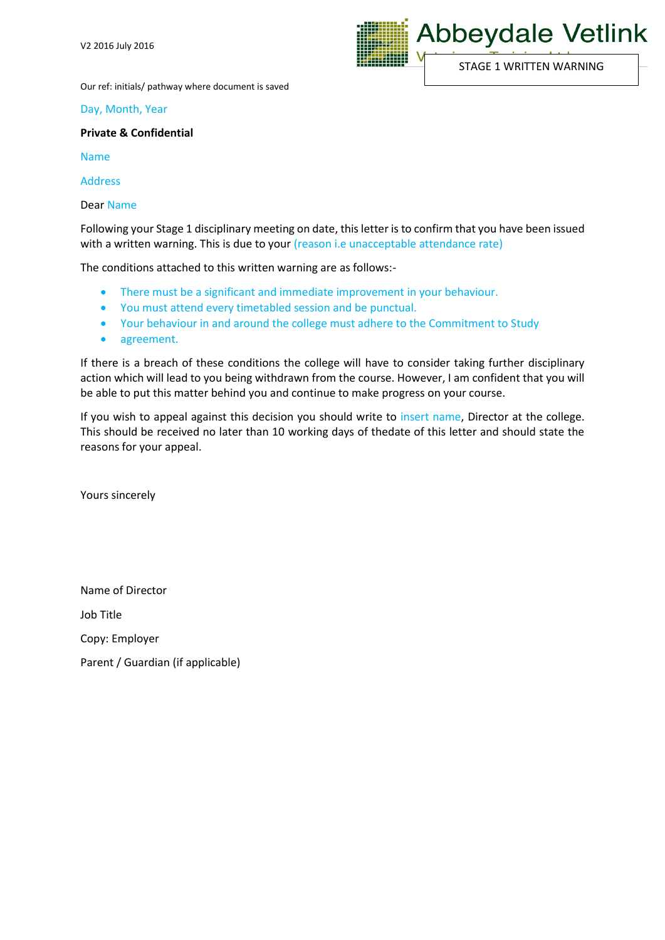

Our ref: initials/ pathway where document is saved

#### Day, Month, Year

#### **Private & Confidential**

Name

Address

Dear Name

Following your Stage 1 disciplinary meeting on date, this letter is to confirm that you have been issued with a written warning. This is due to your (reason i.e unacceptable attendance rate)

The conditions attached to this written warning are as follows:-

- There must be a significant and immediate improvement in your behaviour.
- You must attend every timetabled session and be punctual.
- Your behaviour in and around the college must adhere to the Commitment to Study
- agreement.

If there is a breach of these conditions the college will have to consider taking further disciplinary action which will lead to you being withdrawn from the course. However, I am confident that you will be able to put this matter behind you and continue to make progress on your course.

If you wish to appeal against this decision you should write to insert name, Director at the college. This should be received no later than 10 working days of thedate of this letter and should state the reasons for your appeal.

Yours sincerely

Name of Director

Job Title

Copy: Employer

Parent / Guardian (if applicable)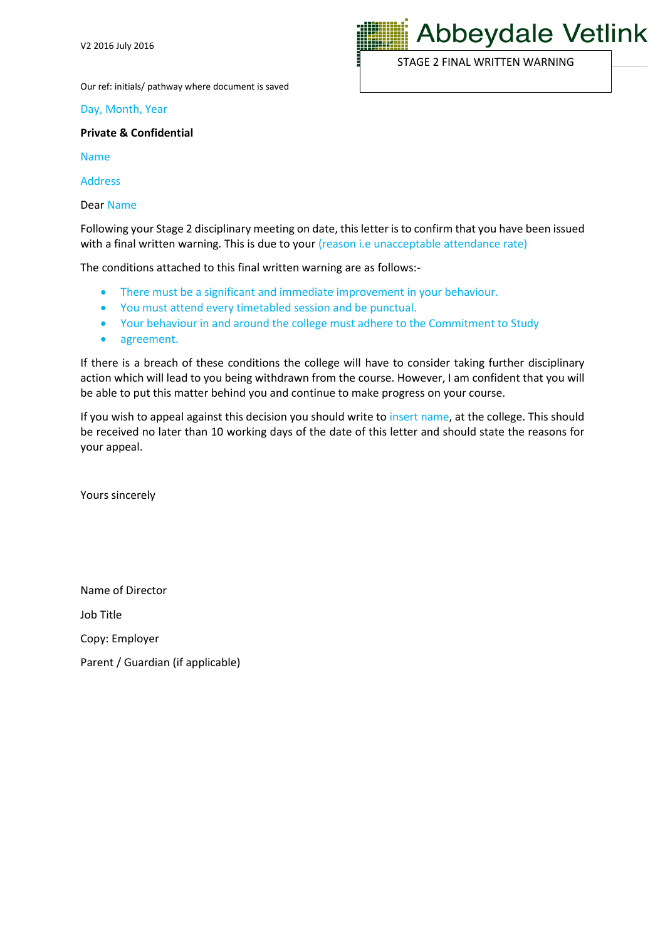Our ref: initials/ pathway where document is saved

Day, Month, Year

#### **Private & Confidential**

Name

Address

Dear Name

Following your Stage 2 disciplinary meeting on date, this letter is to confirm that you have been issued with a final written warning. This is due to your (reason i.e unacceptable attendance rate)

The conditions attached to this final written warning are as follows:-

- There must be a significant and immediate improvement in your behaviour.
- You must attend every timetabled session and be punctual.
- Your behaviour in and around the college must adhere to the Commitment to Study
- agreement.

If there is a breach of these conditions the college will have to consider taking further disciplinary action which will lead to you being withdrawn from the course. However, I am confident that you will be able to put this matter behind you and continue to make progress on your course.

If you wish to appeal against this decision you should write to insert name, at the college. This should be received no later than 10 working days of the date of this letter and should state the reasons for your appeal.

Yours sincerely

Name of Director

Job Title

Copy: Employer

Parent / Guardian (if applicable)



STAGE 2 FINAL WRITTEN WARNING